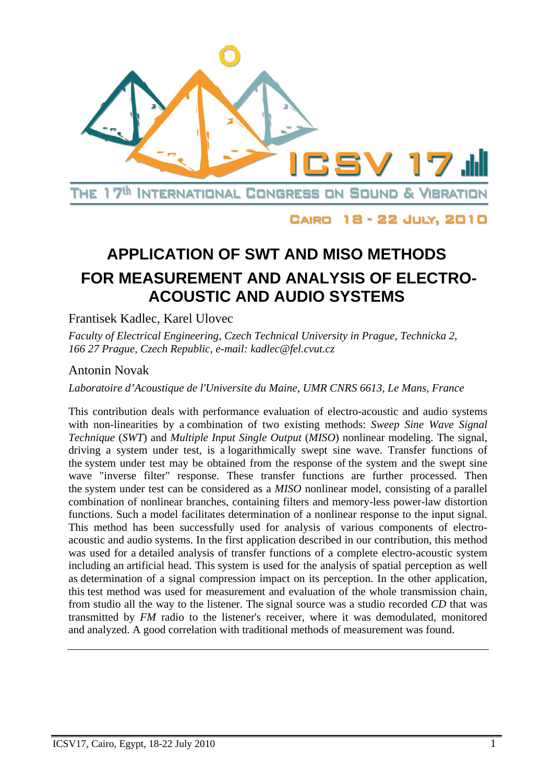

CAIRO 18 - 22 JULY, 2010

# **APPLICATION OF SWT AND MISO METHODS FOR MEASUREMENT AND ANALYSIS OF ELECTRO-ACOUSTIC AND AUDIO SYSTEMS**

Frantisek Kadlec, Karel Ulovec

*Faculty of Electrical Engineering, Czech Technical University in Prague, Technicka 2, 166 27 Prague, Czech Republic, e-mail: kadlec@fel.cvut.cz* 

## Antonin Novak

*Laboratoire d'Acoustique de l'Universite du Maine, UMR CNRS 6613, Le Mans, France* 

This contribution deals with performance evaluation of electro-acoustic and audio systems with non-linearities by a combination of two existing methods: *Sweep Sine Wave Signal Technique* (*SWT*) and *Multiple Input Single Output* (*MISO*) nonlinear modeling. The signal, driving a system under test, is a logarithmically swept sine wave. Transfer functions of the system under test may be obtained from the response of the system and the swept sine wave "inverse filter" response. These transfer functions are further processed. Then the system under test can be considered as a *MISO* nonlinear model, consisting of a parallel combination of nonlinear branches, containing filters and memory-less power-law distortion functions. Such a model facilitates determination of a nonlinear response to the input signal. This method has been successfully used for analysis of various components of electroacoustic and audio systems. In the first application described in our contribution, this method was used for a detailed analysis of transfer functions of a complete electro-acoustic system including an artificial head. This system is used for the analysis of spatial perception as well as determination of a signal compression impact on its perception. In the other application, this test method was used for measurement and evaluation of the whole transmission chain, from studio all the way to the listener. The signal source was a studio recorded *CD* that was transmitted by *FM* radio to the listener's receiver, where it was demodulated, monitored and analyzed. A good correlation with traditional methods of measurement was found.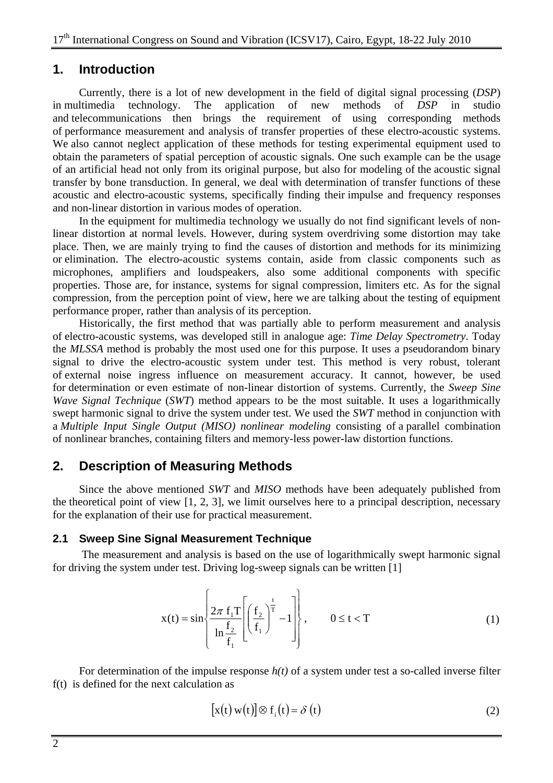## **1. Introduction**

Currently, there is a lot of new development in the field of digital signal processing (*DSP*) in multimedia technology. The application of new methods of *DSP* in studio and telecommunications then brings the requirement of using corresponding methods of performance measurement and analysis of transfer properties of these electro-acoustic systems. We also cannot neglect application of these methods for testing experimental equipment used to obtain the parameters of spatial perception of acoustic signals. One such example can be the usage of an artificial head not only from its original purpose, but also for modeling of the acoustic signal transfer by bone transduction. In general, we deal with determination of transfer functions of these acoustic and electro-acoustic systems, specifically finding their impulse and frequency responses and non-linear distortion in various modes of operation.

In the equipment for multimedia technology we usually do not find significant levels of nonlinear distortion at normal levels. However, during system overdriving some distortion may take place. Then, we are mainly trying to find the causes of distortion and methods for its minimizing or elimination. The electro-acoustic systems contain, aside from classic components such as microphones, amplifiers and loudspeakers, also some additional components with specific properties. Those are, for instance, systems for signal compression, limiters etc. As for the signal compression, from the perception point of view, here we are talking about the testing of equipment performance proper, rather than analysis of its perception.

Historically, the first method that was partially able to perform measurement and analysis of electro-acoustic systems, was developed still in analogue age: *Time Delay Spectrometry*. Today the *MLSSA* method is probably the most used one for this purpose. It uses a pseudorandom binary signal to drive the electro-acoustic system under test. This method is very robust, tolerant of external noise ingress influence on measurement accuracy. It cannot, however, be used for determination or even estimate of non-linear distortion of systems. Currently, the *Sweep Sine Wave Signal Technique* (*SWT*) method appears to be the most suitable. It uses a logarithmically swept harmonic signal to drive the system under test. We used the *SWT* method in conjunction with a *Multiple Input Single Output (MISO) nonlinear modeling* consisting of a parallel combination of nonlinear branches, containing filters and memory-less power-law distortion functions.

## **2. Description of Measuring Methods**

Since the above mentioned *SWT* and *MISO* methods have been adequately published from the theoretical point of view [1, 2, 3], we limit ourselves here to a principal description, necessary for the explanation of their use for practical measurement.

#### **2.1 Sweep Sine Signal Measurement Technique**

 The measurement and analysis is based on the use of logarithmically swept harmonic signal for driving the system under test. Driving log-sweep signals can be written [1]

$$
x(t) = \sin\left\{\frac{2\pi f_1 T}{\ln \frac{f_2}{f_1}} \left[ \left(\frac{f_2}{f_1}\right)^{\frac{t}{T}} - 1 \right] \right\}, \qquad 0 \le t < T
$$
 (1)

For determination of the impulse response *h(t)* of a system under test a so-called inverse filter f(t) is defined for the next calculation as

$$
[x(t) w(t)] \otimes f_i(t) = \delta(t)
$$
 (2)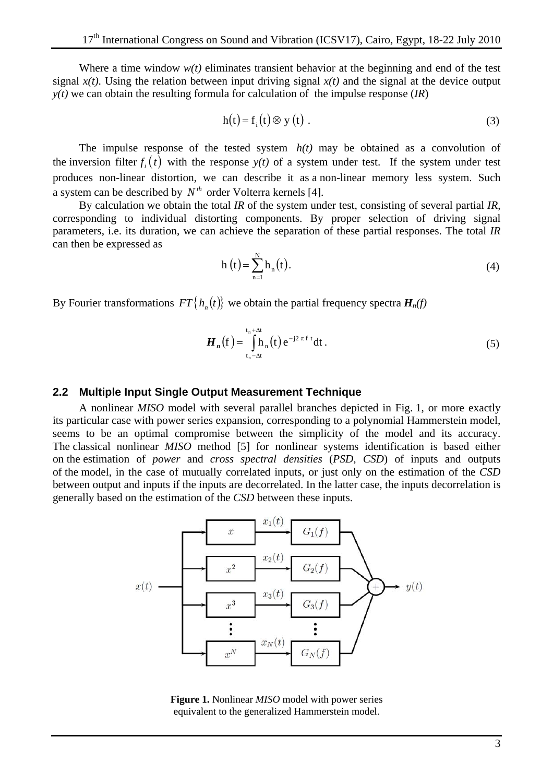Where a time window  $w(t)$  eliminates transient behavior at the beginning and end of the test signal  $x(t)$ . Using the relation between input driving signal  $x(t)$  and the signal at the device output *y(t)* we can obtain the resulting formula for calculation of the impulse response (*IR*)

$$
h(t) = f_i(t) \otimes y(t) . \tag{3}
$$

The impulse response of the tested system  $h(t)$  may be obtained as a convolution of the inversion filter  $f_i(t)$  with the response  $y(t)$  of a system under test. If the system under test produces non-linear distortion, we can describe it as a non-linear memory less system. Such a system can be described by  $N^{th}$  order Volterra kernels [4].

By calculation we obtain the total *IR* of the system under test, consisting of several partial *IR*, corresponding to individual distorting components. By proper selection of driving signal parameters, i.e. its duration, we can achieve the separation of these partial responses. The total *IR* can then be expressed as

$$
h(t) = \sum_{n=1}^{N} h_n(t).
$$
 (4)

By Fourier transformations  $FT\{h_n(t)\}\$  we obtain the partial frequency spectra  $H_n(f)$ 

$$
\boldsymbol{H}_n(\mathbf{f}) = \int_{\mathbf{t}_n - \Delta t}^{\mathbf{t}_n + \Delta t} \mathbf{h}_n(\mathbf{t}) e^{-j2 \pi \mathbf{f} \cdot \mathbf{t}} d\mathbf{t}.
$$
 (5)

#### **2.2 Multiple Input Single Output Measurement Technique**

A nonlinear *MISO* model with several parallel branches depicted in Fig. 1, or more exactly its particular case with power series expansion, corresponding to a polynomial Hammerstein model, seems to be an optimal compromise between the simplicity of the model and its accuracy. The classical nonlinear *MISO* method [5] for nonlinear systems identification is based either on the estimation of *power* and *cross spectral densities* (*PSD, CSD*) of inputs and outputs of the model, in the case of mutually correlated inputs, or just only on the estimation of the *CSD* between output and inputs if the inputs are decorrelated. In the latter case, the inputs decorrelation is generally based on the estimation of the *CSD* between these inputs.



**Figure 1.** Nonlinear *MISO* model with power series equivalent to the generalized Hammerstein model.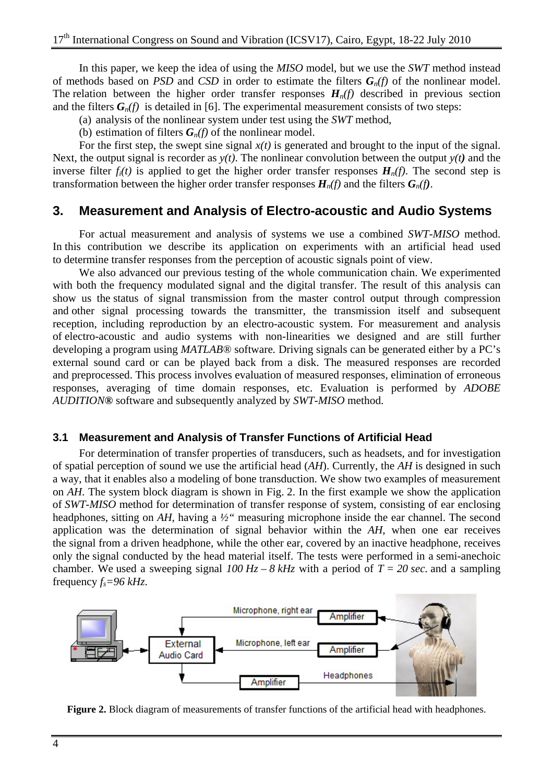In this paper, we keep the idea of using the *MISO* model, but we use the *SWT* method instead of methods based on *PSD* and *CSD* in order to estimate the filters *Gn(f)* of the nonlinear model. The relation between the higher order transfer responses  $H_n(f)$  described in previous section and the filters  $G_n(f)$  is detailed in [6]. The experimental measurement consists of two steps:

(a) analysis of the nonlinear system under test using the *SWT* method,

(b) estimation of filters  $G_n(f)$  of the nonlinear model.

For the first step, the swept sine signal *x(t)* is generated and brought to the input of the signal. Next, the output signal is recorder as *y(t)*. The nonlinear convolution between the output *y(t)* and the inverse filter  $f_i(t)$  is applied to get the higher order transfer responses  $H_n(f)$ . The second step is transformation between the higher order transfer responses  $H_n(f)$  and the filters  $G_n(f)$ .

### **3. Measurement and Analysis of Electro-acoustic and Audio Systems**

For actual measurement and analysis of systems we use a combined *SWT-MISO* method. In this contribution we describe its application on experiments with an artificial head used to determine transfer responses from the perception of acoustic signals point of view.

We also advanced our previous testing of the whole communication chain. We experimented with both the frequency modulated signal and the digital transfer. The result of this analysis can show us the status of signal transmission from the master control output through compression and other signal processing towards the transmitter, the transmission itself and subsequent reception, including reproduction by an electro-acoustic system. For measurement and analysis of electro-acoustic and audio systems with non-linearities we designed and are still further developing a program using *MATLAB®* software*.* Driving signals can be generated either by a PC's external sound card or can be played back from a disk. The measured responses are recorded and preprocessed. This process involves evaluation of measured responses, elimination of erroneous responses, averaging of time domain responses, etc. Evaluation is performed by *ADOBE AUDITION***®** software and subsequently analyzed by *SWT-MISO* method.

#### **3.1 Measurement and Analysis of Transfer Functions of Artificial Head**

For determination of transfer properties of transducers, such as headsets, and for investigation of spatial perception of sound we use the artificial head (*AH*). Currently, the *AH* is designed in such a way, that it enables also a modeling of bone transduction. We show two examples of measurement on *AH*. The system block diagram is shown in Fig. 2. In the first example we show the application of *SWT-MISO* method for determination of transfer response of system, consisting of ear enclosing headphones, sitting on *AH*, having a *½"* measuring microphone inside the ear channel. The second application was the determination of signal behavior within the *AH*, when one ear receives the signal from a driven headphone, while the other ear, covered by an inactive headphone, receives only the signal conducted by the head material itself. The tests were performed in a semi-anechoic chamber. We used a sweeping signal  $100 \text{ Hz} - 8 \text{ kHz}$  with a period of  $T = 20 \text{ sec}$ . and a sampling frequency  $f_s = 96 \, kHz$ .



**Figure 2.** Block diagram of measurements of transfer functions of the artificial head with headphones.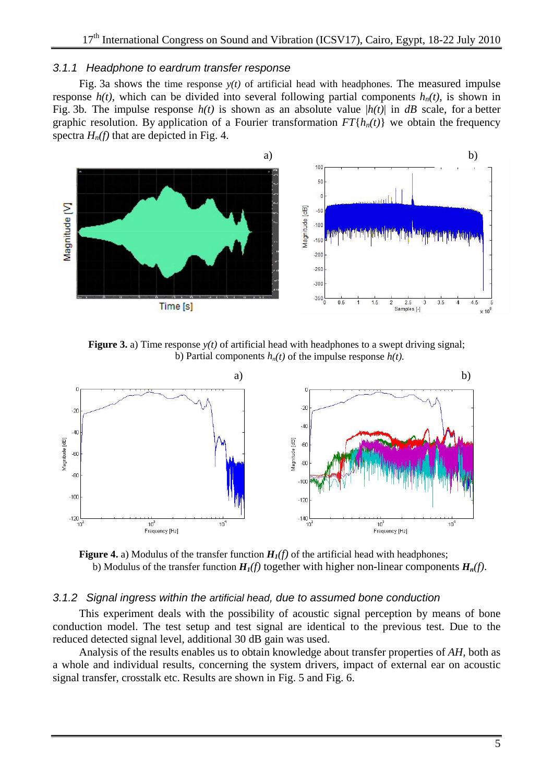#### *3.1.1 Headphone to eardrum transfer response*

Fig. 3a shows the time response  $y(t)$  of artificial head with headphones. The measured impulse response  $h(t)$ , which can be divided into several following partial components  $h_n(t)$ , is shown in Fig. 3b*.* The impulse response *h(t)* is shown as an absolute value |*h(t)*| in *dB* scale, for a better graphic resolution. By application of a Fourier transformation  $FT{h_n(t)}$  we obtain the frequency spectra  $H_n(f)$  that are depicted in Fig. 4.



**Figure 3.** a) Time response  $y(t)$  of artificial head with headphones to a swept driving signal; b) Partial components  $h_n(t)$  of the impulse response  $h(t)$ .



**Figure 4.** a) Modulus of the transfer function  $H_1(f)$  of the artificial head with headphones; b) Modulus of the transfer function  $H_1(f)$  together with higher non-linear components  $H_n(f)$ .

#### *3.1.2 Signal ingress within the artificial head, due to assumed bone conduction*

This experiment deals with the possibility of acoustic signal perception by means of bone conduction model. The test setup and test signal are identical to the previous test. Due to the reduced detected signal level, additional 30 dB gain was used.

Analysis of the results enables us to obtain knowledge about transfer properties of *AH,* both as a whole and individual results, concerning the system drivers, impact of external ear on acoustic signal transfer, crosstalk etc. Results are shown in Fig. 5 and Fig. 6.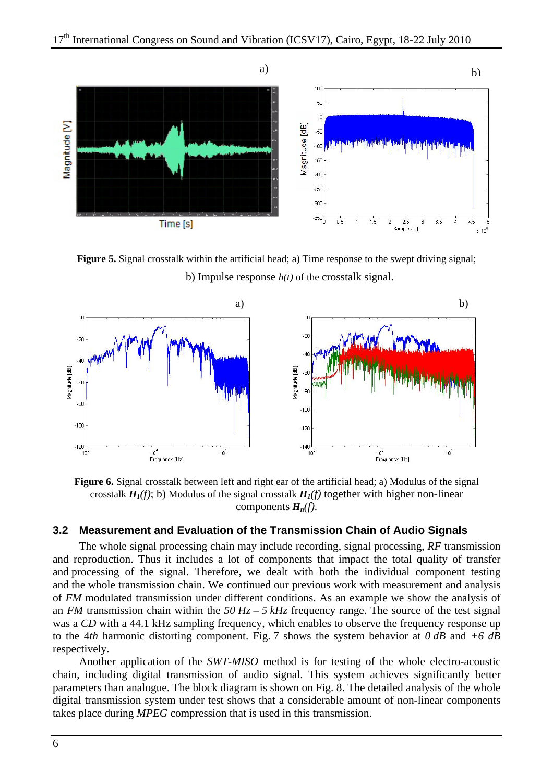

**Figure 5.** Signal crosstalk within the artificial head; a) Time response to the swept driving signal; b) Impulse response *h(t)* of the crosstalk signal.



**Figure 6.** Signal crosstalk between left and right ear of the artificial head; a) Modulus of the signal crosstalk  $H_1(f)$ ; b) Modulus of the signal crosstalk  $H_1(f)$  together with higher non-linear components *Hn(f)*.

#### **3.2 Measurement and Evaluation of the Transmission Chain of Audio Signals**

The whole signal processing chain may include recording, signal processing, *RF* transmission and reproduction. Thus it includes a lot of components that impact the total quality of transfer and processing of the signal. Therefore, we dealt with both the individual component testing and the whole transmission chain. We continued our previous work with measurement and analysis of *FM* modulated transmission under different conditions. As an example we show the analysis of an *FM* transmission chain within the *50 Hz – 5 kHz* frequency range. The source of the test signal was a *CD* with a 44.1 kHz sampling frequency, which enables to observe the frequency response up to the 4*th* harmonic distorting component. Fig. 7 shows the system behavior at *0 dB* and *+6 dB* respectively.

Another application of the *SWT-MISO* method is for testing of the whole electro-acoustic chain, including digital transmission of audio signal. This system achieves significantly better parameters than analogue. The block diagram is shown on Fig. 8. The detailed analysis of the whole digital transmission system under test shows that a considerable amount of non-linear components takes place during *MPEG* compression that is used in this transmission.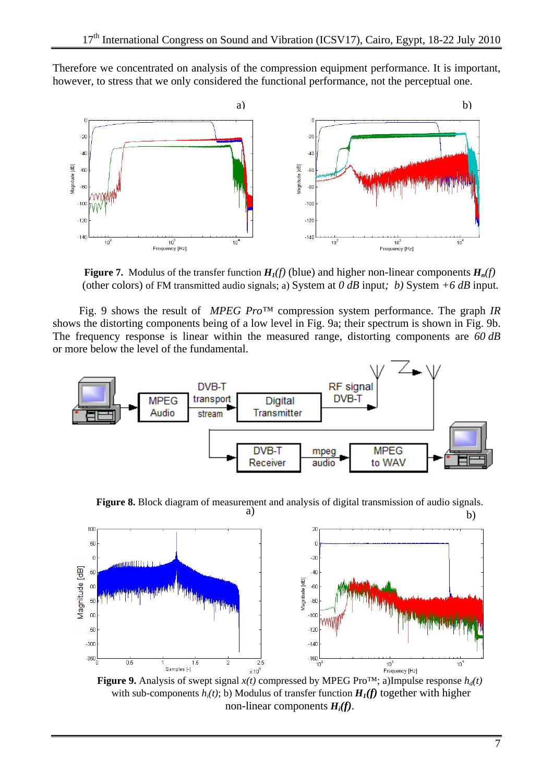Therefore we concentrated on analysis of the compression equipment performance. It is important, however, to stress that we only considered the functional performance, not the perceptual one.



**Figure 7.** Modulus of the transfer function  $H_1(f)$  (blue) and higher non-linear components  $H_n(f)$ (other colors) of FM transmitted audio signals; a) System at *0 dB* input*; b)* System *+6 dB* input*.*

Fig. 9 shows the result of *MPEG Pro™* compression system performance. The graph *IR* shows the distorting components being of a low level in Fig. 9a; their spectrum is shown in Fig. 9b. The frequency response is linear within the measured range, distorting components are *60 dB* or more below the level of the fundamental.



a) b) **Figure 8.** Block diagram of measurement and analysis of digital transmission of audio signals.



**Figure 9.** Analysis of swept signal  $x(t)$  compressed by MPEG Pro<sup>TM</sup>; a)Impulse response  $h_d(t)$ with sub-components  $h_i(t)$ ; b) Modulus of transfer function  $H_i(f)$  together with higher non-linear components *Hi(f)*.